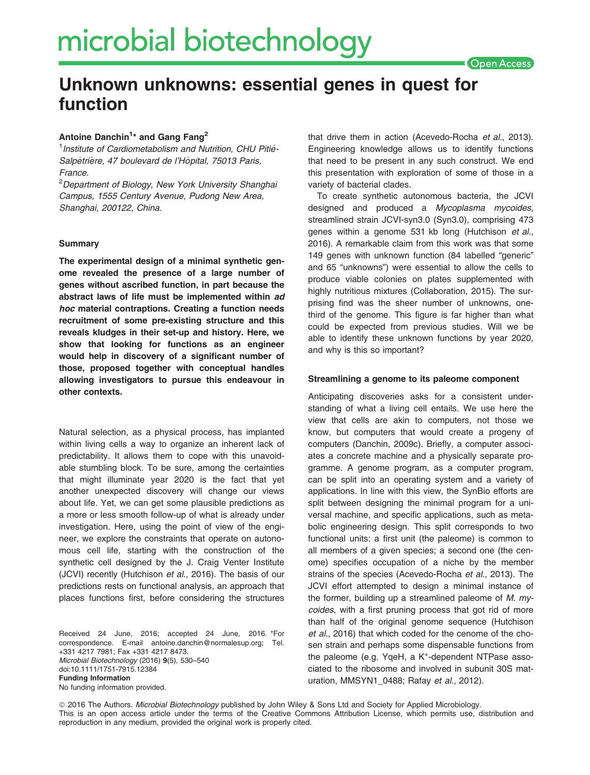# Unknown unknowns: essential genes in quest for function

## Antoine Danchin<sup>1\*</sup> and Gang Fang<sup>2</sup>

<sup>1</sup> Institute of Cardiometabolism and Nutrition, CHU Pitié-Salpêtrière, 47 boulevard de l'Hôpital, 75013 Paris, France.

<sup>2</sup>Department of Biology, New York University Shanghai Campus, 1555 Century Avenue, Pudong New Area, Shanghai, 200122, China.

## **Summary**

The experimental design of a minimal synthetic genome revealed the presence of a large number of genes without ascribed function, in part because the abstract laws of life must be implemented within ad hoc material contraptions. Creating a function needs recruitment of some pre-existing structure and this reveals kludges in their set-up and history. Here, we show that looking for functions as an engineer would help in discovery of a significant number of those, proposed together with conceptual handles allowing investigators to pursue this endeavour in other contexts.

Natural selection, as a physical process, has implanted within living cells a way to organize an inherent lack of predictability. It allows them to cope with this unavoidable stumbling block. To be sure, among the certainties that might illuminate year 2020 is the fact that yet another unexpected discovery will change our views about life. Yet, we can get some plausible predictions as a more or less smooth follow-up of what is already under investigation. Here, using the point of view of the engineer, we explore the constraints that operate on autonomous cell life, starting with the construction of the synthetic cell designed by the J. Craig Venter Institute (JCVI) recently (Hutchison et al., 2016). The basis of our predictions rests on functional analysis, an approach that places functions first, before considering the structures

Received 24 June, 2016; accepted 24 June, 2016. \*For correspondence. E-mail antoine.danchin@normalesup.org; Tel. +331 4217 7981; Fax +331 4217 8473. Microbial Biotechnology (2016) 9(5), 530–540 doi:10.1111/1751-7915.12384 Funding Information No funding information provided.

that drive them in action (Acevedo-Rocha et al., 2013). Engineering knowledge allows us to identify functions that need to be present in any such construct. We end this presentation with exploration of some of those in a variety of bacterial clades.

To create synthetic autonomous bacteria, the JCVI designed and produced a Mycoplasma mycoides, streamlined strain JCVI-syn3.0 (Syn3.0), comprising 473 genes within a genome 531 kb long (Hutchison et al., 2016). A remarkable claim from this work was that some 149 genes with unknown function (84 labelled "generic" and 65 "unknowns") were essential to allow the cells to produce viable colonies on plates supplemented with highly nutritious mixtures (Collaboration, 2015). The surprising find was the sheer number of unknowns, onethird of the genome. This figure is far higher than what could be expected from previous studies. Will we be able to identify these unknown functions by year 2020, and why is this so important?

#### Streamlining a genome to its paleome component

Anticipating discoveries asks for a consistent understanding of what a living cell entails. We use here the view that cells are akin to computers, not those we know, but computers that would create a progeny of computers (Danchin, 2009c). Briefly, a computer associates a concrete machine and a physically separate programme. A genome program, as a computer program, can be split into an operating system and a variety of applications. In line with this view, the SynBio efforts are split between designing the minimal program for a universal machine, and specific applications, such as metabolic engineering design. This split corresponds to two functional units: a first unit (the paleome) is common to all members of a given species; a second one (the cenome) specifies occupation of a niche by the member strains of the species (Acevedo-Rocha et al., 2013). The JCVI effort attempted to design a minimal instance of the former, building up a streamlined paleome of  $M$ . mycoides, with a first pruning process that got rid of more than half of the original genome sequence (Hutchison et al., 2016) that which coded for the cenome of the chosen strain and perhaps some dispensable functions from the paleome (e.g. YqeH, a K<sup>+</sup>-dependent NTPase associated to the ribosome and involved in subunit 30S maturation, MMSYN1\_0488; Rafay et al., 2012).

ª 2016 The Authors. Microbial Biotechnology published by John Wiley & Sons Ltd and Society for Applied Microbiology. This is an open access article under the terms of the Creative Commons Attribution License, which permits use, distribution and reproduction in any medium, provided the original work is properly cited.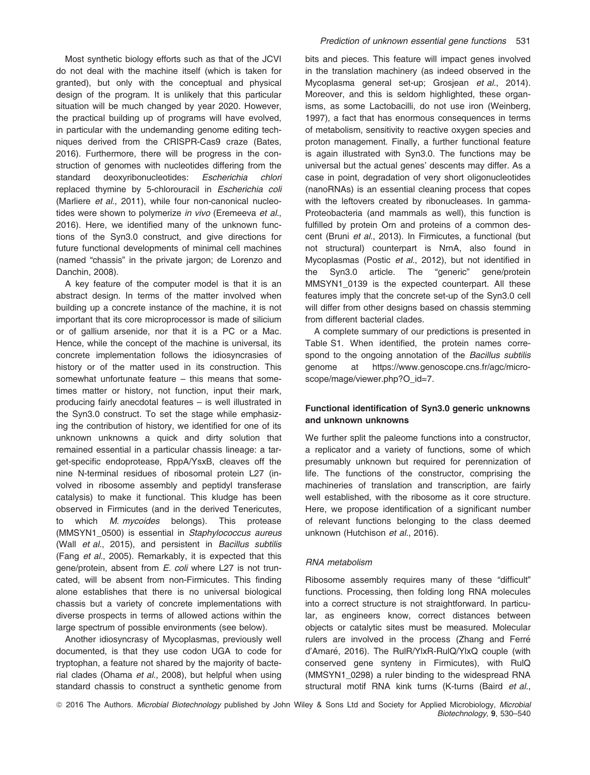Most synthetic biology efforts such as that of the JCVI do not deal with the machine itself (which is taken for granted), but only with the conceptual and physical design of the program. It is unlikely that this particular situation will be much changed by year 2020. However, the practical building up of programs will have evolved, in particular with the undemanding genome editing techniques derived from the CRISPR-Cas9 craze (Bates, 2016). Furthermore, there will be progress in the construction of genomes with nucleotides differing from the standard deoxyribonucleotides: Escherichia chlori replaced thymine by 5-chlorouracil in Escherichia coli (Marliere et al., 2011), while four non-canonical nucleotides were shown to polymerize in vivo (Eremeeva et al., 2016). Here, we identified many of the unknown functions of the Syn3.0 construct, and give directions for future functional developments of minimal cell machines (named "chassis" in the private jargon; de Lorenzo and Danchin, 2008).

A key feature of the computer model is that it is an abstract design. In terms of the matter involved when building up a concrete instance of the machine, it is not important that its core microprocessor is made of silicium or of gallium arsenide, nor that it is a PC or a Mac. Hence, while the concept of the machine is universal, its concrete implementation follows the idiosyncrasies of history or of the matter used in its construction. This somewhat unfortunate feature – this means that sometimes matter or history, not function, input their mark, producing fairly anecdotal features – is well illustrated in the Syn3.0 construct. To set the stage while emphasizing the contribution of history, we identified for one of its unknown unknowns a quick and dirty solution that remained essential in a particular chassis lineage: a target-specific endoprotease, RppA/YsxB, cleaves off the nine N-terminal residues of ribosomal protein L27 (involved in ribosome assembly and peptidyl transferase catalysis) to make it functional. This kludge has been observed in Firmicutes (and in the derived Tenericutes, to which M. mycoides belongs). This protease (MMSYN1\_0500) is essential in Staphylococcus aureus (Wall et al., 2015), and persistent in Bacillus subtilis (Fang et al., 2005). Remarkably, it is expected that this gene/protein, absent from E. coli where L27 is not truncated, will be absent from non-Firmicutes. This finding alone establishes that there is no universal biological chassis but a variety of concrete implementations with diverse prospects in terms of allowed actions within the large spectrum of possible environments (see below).

Another idiosyncrasy of Mycoplasmas, previously well documented, is that they use codon UGA to code for tryptophan, a feature not shared by the majority of bacterial clades (Ohama et al., 2008), but helpful when using standard chassis to construct a synthetic genome from bits and pieces. This feature will impact genes involved in the translation machinery (as indeed observed in the Mycoplasma general set-up; Grosjean et al., 2014). Moreover, and this is seldom highlighted, these organisms, as some Lactobacilli, do not use iron (Weinberg, 1997), a fact that has enormous consequences in terms of metabolism, sensitivity to reactive oxygen species and proton management. Finally, a further functional feature is again illustrated with Syn3.0. The functions may be universal but the actual genes' descents may differ. As a case in point, degradation of very short oligonucleotides (nanoRNAs) is an essential cleaning process that copes with the leftovers created by ribonucleases. In gamma-Proteobacteria (and mammals as well), this function is fulfilled by protein Orn and proteins of a common descent (Bruni et al., 2013). In Firmicutes, a functional (but not structural) counterpart is NrnA, also found in Mycoplasmas (Postic et al., 2012), but not identified in the Syn3.0 article. The "generic" gene/protein MMSYN1\_0139 is the expected counterpart. All these features imply that the concrete set-up of the Syn3.0 cell will differ from other designs based on chassis stemming from different bacterial clades.

A complete summary of our predictions is presented in Table S1. When identified, the protein names correspond to the ongoing annotation of the Bacillus subtilis genome at https://www.genoscope.cns.fr/agc/microscope/mage/viewer.php?O\_id=7.

## Functional identification of Syn3.0 generic unknowns and unknown unknowns

We further split the paleome functions into a constructor, a replicator and a variety of functions, some of which presumably unknown but required for perennization of life. The functions of the constructor, comprising the machineries of translation and transcription, are fairly well established, with the ribosome as it core structure. Here, we propose identification of a significant number of relevant functions belonging to the class deemed unknown (Hutchison et al., 2016).

## RNA metabolism

Ribosome assembly requires many of these "difficult" functions. Processing, then folding long RNA molecules into a correct structure is not straightforward. In particular, as engineers know, correct distances between objects or catalytic sites must be measured. Molecular rulers are involved in the process (Zhang and Ferré d'Amare, 2016). The RulR/YlxR-RulQ/YlxQ couple (with conserved gene synteny in Firmicutes), with RulQ (MMSYN1\_0298) a ruler binding to the widespread RNA structural motif RNA kink turns (K-turns (Baird et al.,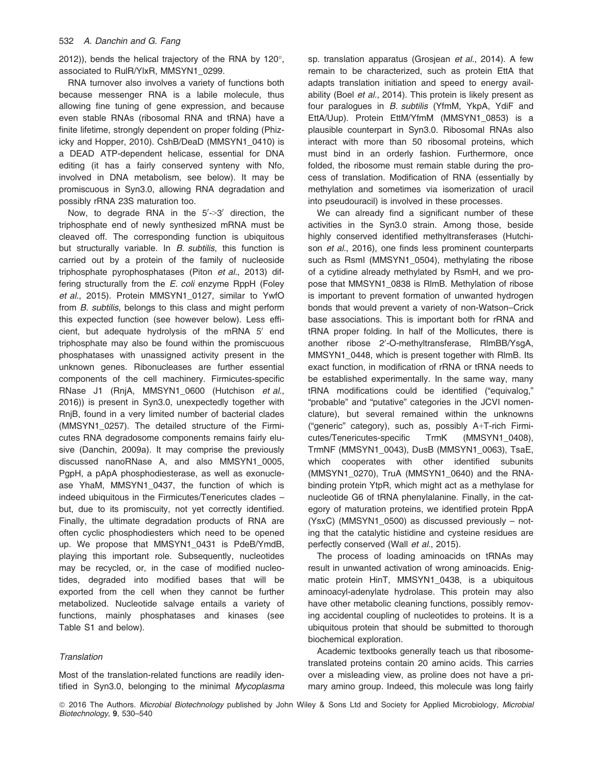2012)), bends the helical trajectory of the RNA by 120°, associated to RulR/YlxR, MMSYN1\_0299.

RNA turnover also involves a variety of functions both because messenger RNA is a labile molecule, thus allowing fine tuning of gene expression, and because even stable RNAs (ribosomal RNA and tRNA) have a finite lifetime, strongly dependent on proper folding (Phizicky and Hopper, 2010). CshB/DeaD (MMSYN1\_0410) is a DEAD ATP-dependent helicase, essential for DNA editing (it has a fairly conserved synteny with Nfo, involved in DNA metabolism, see below). It may be promiscuous in Syn3.0, allowing RNA degradation and possibly rRNA 23S maturation too.

Now, to degrade RNA in the  $5'$ - $>$ 3' direction, the triphosphate end of newly synthesized mRNA must be cleaved off. The corresponding function is ubiquitous but structurally variable. In B. subtilis, this function is carried out by a protein of the family of nucleoside triphosphate pyrophosphatases (Piton et al., 2013) differing structurally from the E. coli enzyme RppH (Foley et al., 2015). Protein MMSYN1\_0127, similar to YwfO from B. subtilis, belongs to this class and might perform this expected function (see however below). Less efficient, but adequate hydrolysis of the mRNA  $5'$  end triphosphate may also be found within the promiscuous phosphatases with unassigned activity present in the unknown genes. Ribonucleases are further essential components of the cell machinery. Firmicutes-specific RNase J1 (RnjA, MMSYN1\_0600 (Hutchison et al., 2016)) is present in Syn3.0, unexpectedly together with RnjB, found in a very limited number of bacterial clades (MMSYN1\_0257). The detailed structure of the Firmicutes RNA degradosome components remains fairly elusive (Danchin, 2009a). It may comprise the previously discussed nanoRNase A, and also MMSYN1\_0005, PgpH, a pApA phosphodiesterase, as well as exonuclease YhaM, MMSYN1\_0437, the function of which is indeed ubiquitous in the Firmicutes/Tenericutes clades – but, due to its promiscuity, not yet correctly identified. Finally, the ultimate degradation products of RNA are often cyclic phosphodiesters which need to be opened up. We propose that MMSYN1\_0431 is PdeB/YmdB, playing this important role. Subsequently, nucleotides may be recycled, or, in the case of modified nucleotides, degraded into modified bases that will be exported from the cell when they cannot be further metabolized. Nucleotide salvage entails a variety of functions, mainly phosphatases and kinases (see Table S1 and below).

## **Translation**

Most of the translation-related functions are readily identified in Syn3.0, belonging to the minimal Mycoplasma sp. translation apparatus (Grosjean et al., 2014). A few remain to be characterized, such as protein EttA that adapts translation initiation and speed to energy availability (Boel et al., 2014). This protein is likely present as four paralogues in B. subtilis (YfmM, YkpA, YdiF and EttA/Uup). Protein EttM/YfmM (MMSYN1\_0853) is a plausible counterpart in Syn3.0. Ribosomal RNAs also interact with more than 50 ribosomal proteins, which must bind in an orderly fashion. Furthermore, once folded, the ribosome must remain stable during the process of translation. Modification of RNA (essentially by methylation and sometimes via isomerization of uracil into pseudouracil) is involved in these processes.

We can already find a significant number of these activities in the Syn3.0 strain. Among those, beside highly conserved identified methyltransferases (Hutchison et al., 2016), one finds less prominent counterparts such as RsmI (MMSYN1\_0504), methylating the ribose of a cytidine already methylated by RsmH, and we propose that MMSYN1\_0838 is RlmB. Methylation of ribose is important to prevent formation of unwanted hydrogen bonds that would prevent a variety of non-Watson–Crick base associations. This is important both for rRNA and tRNA proper folding. In half of the Mollicutes, there is another ribose 2'-O-methyltransferase, RImBB/YsgA, MMSYN1\_0448, which is present together with RlmB. Its exact function, in modification of rRNA or tRNA needs to be established experimentally. In the same way, many tRNA modifications could be identified ("equivalog," "probable" and "putative" categories in the JCVI nomenclature), but several remained within the unknowns ("generic" category), such as, possibly A+T-rich Firmicutes/Tenericutes-specific TrmK (MMSYN1\_0408), TrmNF (MMSYN1\_0043), DusB (MMSYN1\_0063), TsaE, which cooperates with other identified subunits (MMSYN1\_0270), TruA (MMSYN1\_0640) and the RNAbinding protein YtpR, which might act as a methylase for nucleotide G6 of tRNA phenylalanine. Finally, in the category of maturation proteins, we identified protein RppA (YsxC) (MMSYN1\_0500) as discussed previously – noting that the catalytic histidine and cysteine residues are perfectly conserved (Wall et al., 2015).

The process of loading aminoacids on tRNAs may result in unwanted activation of wrong aminoacids. Enigmatic protein HinT, MMSYN1\_0438, is a ubiquitous aminoacyl-adenylate hydrolase. This protein may also have other metabolic cleaning functions, possibly removing accidental coupling of nucleotides to proteins. It is a ubiquitous protein that should be submitted to thorough biochemical exploration.

Academic textbooks generally teach us that ribosometranslated proteins contain 20 amino acids. This carries over a misleading view, as proline does not have a primary amino group. Indeed, this molecule was long fairly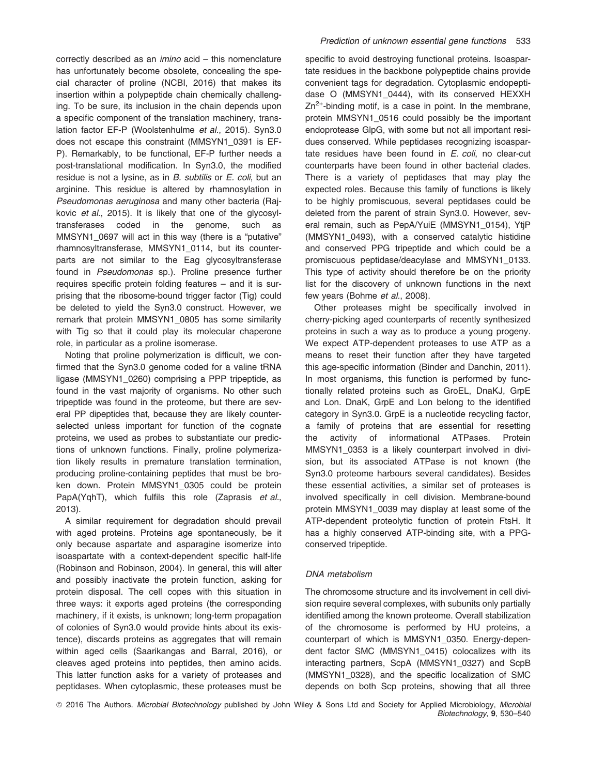correctly described as an imino acid – this nomenclature has unfortunately become obsolete, concealing the special character of proline (NCBI, 2016) that makes its insertion within a polypeptide chain chemically challenging. To be sure, its inclusion in the chain depends upon a specific component of the translation machinery, translation factor EF-P (Woolstenhulme et al., 2015). Syn3.0 does not escape this constraint (MMSYN1\_0391 is EF-P). Remarkably, to be functional, EF-P further needs a post-translational modification. In Syn3.0, the modified residue is not a lysine, as in B. subtilis or E. coli, but an arginine. This residue is altered by rhamnosylation in Pseudomonas aeruginosa and many other bacteria (Rajkovic et al., 2015). It is likely that one of the glycosyltransferases coded in the genome, such as MMSYN1\_0697 will act in this way (there is a "putative" rhamnosyltransferase, MMSYN1\_0114, but its counterparts are not similar to the Eag glycosyltransferase found in Pseudomonas sp.). Proline presence further requires specific protein folding features – and it is surprising that the ribosome-bound trigger factor (Tig) could be deleted to yield the Syn3.0 construct. However, we remark that protein MMSYN1\_0805 has some similarity with Tig so that it could play its molecular chaperone role, in particular as a proline isomerase.

Noting that proline polymerization is difficult, we confirmed that the Syn3.0 genome coded for a valine tRNA ligase (MMSYN1\_0260) comprising a PPP tripeptide, as found in the vast majority of organisms. No other such tripeptide was found in the proteome, but there are several PP dipeptides that, because they are likely counterselected unless important for function of the cognate proteins, we used as probes to substantiate our predictions of unknown functions. Finally, proline polymerization likely results in premature translation termination, producing proline-containing peptides that must be broken down. Protein MMSYN1\_0305 could be protein PapA(YqhT), which fulfils this role (Zaprasis et al., 2013).

A similar requirement for degradation should prevail with aged proteins. Proteins age spontaneously, be it only because aspartate and asparagine isomerize into isoaspartate with a context-dependent specific half-life (Robinson and Robinson, 2004). In general, this will alter and possibly inactivate the protein function, asking for protein disposal. The cell copes with this situation in three ways: it exports aged proteins (the corresponding machinery, if it exists, is unknown; long-term propagation of colonies of Syn3.0 would provide hints about its existence), discards proteins as aggregates that will remain within aged cells (Saarikangas and Barral, 2016), or cleaves aged proteins into peptides, then amino acids. This latter function asks for a variety of proteases and peptidases. When cytoplasmic, these proteases must be

specific to avoid destroying functional proteins. Isoaspartate residues in the backbone polypeptide chains provide convenient tags for degradation. Cytoplasmic endopeptidase O (MMSYN1\_0444), with its conserved HEXXH  $Zn^{2+}$ -binding motif, is a case in point. In the membrane, protein MMSYN1\_0516 could possibly be the important endoprotease GlpG, with some but not all important residues conserved. While peptidases recognizing isoaspartate residues have been found in  $E.$  coli, no clear-cut counterparts have been found in other bacterial clades. There is a variety of peptidases that may play the expected roles. Because this family of functions is likely to be highly promiscuous, several peptidases could be deleted from the parent of strain Syn3.0. However, several remain, such as PepA/YuiE (MMSYN1\_0154), YtjP (MMSYN1\_0493), with a conserved catalytic histidine and conserved PPG tripeptide and which could be a promiscuous peptidase/deacylase and MMSYN1\_0133. This type of activity should therefore be on the priority list for the discovery of unknown functions in the next few years (Bohme et al., 2008).

Other proteases might be specifically involved in cherry-picking aged counterparts of recently synthesized proteins in such a way as to produce a young progeny. We expect ATP-dependent proteases to use ATP as a means to reset their function after they have targeted this age-specific information (Binder and Danchin, 2011). In most organisms, this function is performed by functionally related proteins such as GroEL, DnaKJ, GrpE and Lon. DnaK, GrpE and Lon belong to the identified category in Syn3.0. GrpE is a nucleotide recycling factor, a family of proteins that are essential for resetting the activity of informational ATPases. Protein MMSYN1\_0353 is a likely counterpart involved in division, but its associated ATPase is not known (the Syn3.0 proteome harbours several candidates). Besides these essential activities, a similar set of proteases is involved specifically in cell division. Membrane-bound protein MMSYN1\_0039 may display at least some of the ATP-dependent proteolytic function of protein FtsH. It has a highly conserved ATP-binding site, with a PPGconserved tripeptide.

## DNA metabolism

The chromosome structure and its involvement in cell division require several complexes, with subunits only partially identified among the known proteome. Overall stabilization of the chromosome is performed by HU proteins, a counterpart of which is MMSYN1\_0350. Energy-dependent factor SMC (MMSYN1\_0415) colocalizes with its interacting partners, ScpA (MMSYN1\_0327) and ScpB (MMSYN1\_0328), and the specific localization of SMC depends on both Scp proteins, showing that all three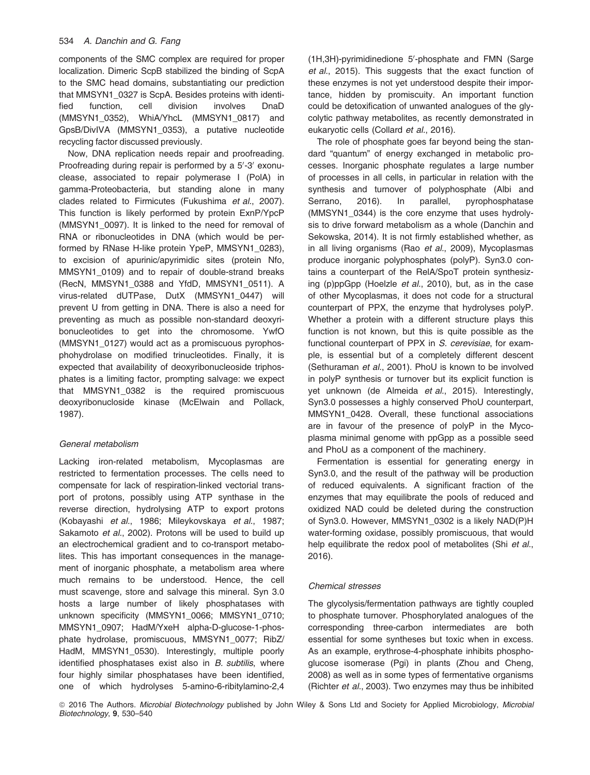components of the SMC complex are required for proper localization. Dimeric ScpB stabilized the binding of ScpA to the SMC head domains, substantiating our prediction that MMSYN1\_0327 is ScpA. Besides proteins with identified function, cell division involves DnaD (MMSYN1\_0352), WhiA/YhcL (MMSYN1\_0817) and GpsB/DivIVA (MMSYN1\_0353), a putative nucleotide recycling factor discussed previously.

Now, DNA replication needs repair and proofreading. Proofreading during repair is performed by a 5'-3' exonuclease, associated to repair polymerase I (PolA) in gamma-Proteobacteria, but standing alone in many clades related to Firmicutes (Fukushima et al., 2007). This function is likely performed by protein ExnP/YpcP (MMSYN1\_0097). It is linked to the need for removal of RNA or ribonucleotides in DNA (which would be performed by RNase H-like protein YpeP, MMSYN1\_0283), to excision of apurinic/apyrimidic sites (protein Nfo, MMSYN1\_0109) and to repair of double-strand breaks (RecN, MMSYN1\_0388 and YfdD, MMSYN1\_0511). A virus-related dUTPase, DutX (MMSYN1\_0447) will prevent U from getting in DNA. There is also a need for preventing as much as possible non-standard deoxyribonucleotides to get into the chromosome. YwfO (MMSYN1\_0127) would act as a promiscuous pyrophosphohydrolase on modified trinucleotides. Finally, it is expected that availability of deoxyribonucleoside triphosphates is a limiting factor, prompting salvage: we expect that MMSYN1\_0382 is the required promiscuous deoxyribonucloside kinase (McElwain and Pollack, 1987).

# General metabolism

Lacking iron-related metabolism, Mycoplasmas are restricted to fermentation processes. The cells need to compensate for lack of respiration-linked vectorial transport of protons, possibly using ATP synthase in the reverse direction, hydrolysing ATP to export protons (Kobayashi et al., 1986; Mileykovskaya et al., 1987; Sakamoto et al., 2002). Protons will be used to build up an electrochemical gradient and to co-transport metabolites. This has important consequences in the management of inorganic phosphate, a metabolism area where much remains to be understood. Hence, the cell must scavenge, store and salvage this mineral. Syn 3.0 hosts a large number of likely phosphatases with unknown specificity (MMSYN1\_0066; MMSYN1\_0710; MMSYN1\_0907; HadM/YxeH alpha-D-glucose-1-phosphate hydrolase, promiscuous, MMSYN1\_0077; RibZ/ HadM, MMSYN1 0530). Interestingly, multiple poorly identified phosphatases exist also in B. subtilis, where four highly similar phosphatases have been identified, one of which hydrolyses 5-amino-6-ribitylamino-2,4

(1H,3H)-pyrimidinedione 5'-phosphate and FMN (Sarge et al., 2015). This suggests that the exact function of these enzymes is not yet understood despite their importance, hidden by promiscuity. An important function could be detoxification of unwanted analogues of the glycolytic pathway metabolites, as recently demonstrated in eukaryotic cells (Collard et al., 2016).

The role of phosphate goes far beyond being the standard "quantum" of energy exchanged in metabolic processes. Inorganic phosphate regulates a large number of processes in all cells, in particular in relation with the synthesis and turnover of polyphosphate (Albi and Serrano, 2016). In parallel, pyrophosphatase (MMSYN1\_0344) is the core enzyme that uses hydrolysis to drive forward metabolism as a whole (Danchin and Sekowska, 2014). It is not firmly established whether, as in all living organisms (Rao et al., 2009), Mycoplasmas produce inorganic polyphosphates (polyP). Syn3.0 contains a counterpart of the RelA/SpoT protein synthesizing (p)ppGpp (Hoelzle et al., 2010), but, as in the case of other Mycoplasmas, it does not code for a structural counterpart of PPX, the enzyme that hydrolyses polyP. Whether a protein with a different structure plays this function is not known, but this is quite possible as the functional counterpart of PPX in S. cerevisiae, for example, is essential but of a completely different descent (Sethuraman et al., 2001). PhoU is known to be involved in polyP synthesis or turnover but its explicit function is yet unknown (de Almeida et al., 2015). Interestingly, Syn3.0 possesses a highly conserved PhoU counterpart, MMSYN1\_0428. Overall, these functional associations are in favour of the presence of polyP in the Mycoplasma minimal genome with ppGpp as a possible seed and PhoU as a component of the machinery.

Fermentation is essential for generating energy in Syn3.0, and the result of the pathway will be production of reduced equivalents. A significant fraction of the enzymes that may equilibrate the pools of reduced and oxidized NAD could be deleted during the construction of Syn3.0. However, MMSYN1\_0302 is a likely NAD(P)H water-forming oxidase, possibly promiscuous, that would help equilibrate the redox pool of metabolites (Shi et al., 2016).

## Chemical stresses

The glycolysis/fermentation pathways are tightly coupled to phosphate turnover. Phosphorylated analogues of the corresponding three-carbon intermediates are both essential for some syntheses but toxic when in excess. As an example, erythrose-4-phosphate inhibits phosphoglucose isomerase (Pgi) in plants (Zhou and Cheng, 2008) as well as in some types of fermentative organisms (Richter et al., 2003). Two enzymes may thus be inhibited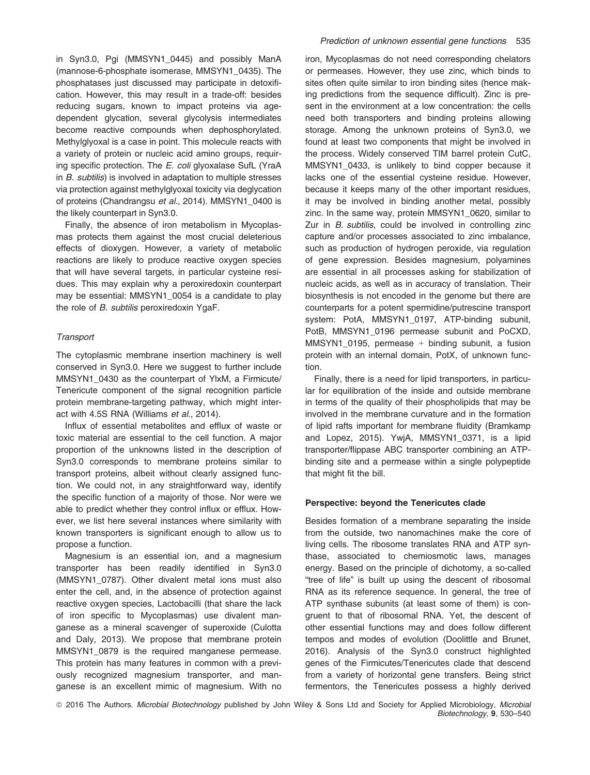in Syn3.0, Pgi (MMSYN1\_0445) and possibly ManA (mannose-6-phosphate isomerase, MMSYN1\_0435). The phosphatases just discussed may participate in detoxification. However, this may result in a trade-off: besides reducing sugars, known to impact proteins via agedependent glycation, several glycolysis intermediates become reactive compounds when dephosphorylated. Methylglyoxal is a case in point. This molecule reacts with a variety of protein or nucleic acid amino groups, requiring specific protection. The E. coli glyoxalase SufL (YraA in B. subtilis) is involved in adaptation to multiple stresses via protection against methylglyoxal toxicity via deglycation of proteins (Chandrangsu et al., 2014). MMSYN1\_0400 is the likely counterpart in Syn3.0.

Finally, the absence of iron metabolism in Mycoplasmas protects them against the most crucial deleterious effects of dioxygen. However, a variety of metabolic reactions are likely to produce reactive oxygen species that will have several targets, in particular cysteine residues. This may explain why a peroxiredoxin counterpart may be essential: MMSYN1\_0054 is a candidate to play the role of B. subtilis peroxiredoxin YgaF.

## **Transport**

The cytoplasmic membrane insertion machinery is well conserved in Syn3.0. Here we suggest to further include MMSYN1\_0430 as the counterpart of YlxM, a Firmicute/ Tenericute component of the signal recognition particle protein membrane-targeting pathway, which might interact with 4.5S RNA (Williams et al., 2014).

Influx of essential metabolites and efflux of waste or toxic material are essential to the cell function. A major proportion of the unknowns listed in the description of Syn3.0 corresponds to membrane proteins similar to transport proteins, albeit without clearly assigned function. We could not, in any straightforward way, identify the specific function of a majority of those. Nor were we able to predict whether they control influx or efflux. However, we list here several instances where similarity with known transporters is significant enough to allow us to propose a function.

Magnesium is an essential ion, and a magnesium transporter has been readily identified in Syn3.0 (MMSYN1\_0787). Other divalent metal ions must also enter the cell, and, in the absence of protection against reactive oxygen species, Lactobacilli (that share the lack of iron specific to Mycoplasmas) use divalent manganese as a mineral scavenger of superoxide (Culotta and Daly, 2013). We propose that membrane protein MMSYN1\_0879 is the required manganese permease. This protein has many features in common with a previously recognized magnesium transporter, and manganese is an excellent mimic of magnesium. With no

iron, Mycoplasmas do not need corresponding chelators or permeases. However, they use zinc, which binds to sites often quite similar to iron binding sites (hence making predictions from the sequence difficult). Zinc is present in the environment at a low concentration: the cells need both transporters and binding proteins allowing storage. Among the unknown proteins of Syn3.0, we found at least two components that might be involved in the process. Widely conserved TIM barrel protein CutC, MMSYN1\_0433, is unlikely to bind copper because it lacks one of the essential cysteine residue. However, because it keeps many of the other important residues, it may be involved in binding another metal, possibly zinc. In the same way, protein MMSYN1\_0620, similar to Zur in B. subtilis, could be involved in controlling zinc capture and/or processes associated to zinc imbalance, such as production of hydrogen peroxide, via regulation of gene expression. Besides magnesium, polyamines are essential in all processes asking for stabilization of nucleic acids, as well as in accuracy of translation. Their biosynthesis is not encoded in the genome but there are counterparts for a potent spermidine/putrescine transport system: PotA, MMSYN1\_0197, ATP-binding subunit, PotB, MMSYN1\_0196 permease subunit and PoCXD, MMSYN1\_0195, permease + binding subunit, a fusion protein with an internal domain, PotX, of unknown function.

Finally, there is a need for lipid transporters, in particular for equilibration of the inside and outside membrane in terms of the quality of their phospholipids that may be involved in the membrane curvature and in the formation of lipid rafts important for membrane fluidity (Bramkamp and Lopez, 2015). YwjA, MMSYN1\_0371, is a lipid transporter/flippase ABC transporter combining an ATPbinding site and a permease within a single polypeptide that might fit the bill.

## Perspective: beyond the Tenericutes clade

Besides formation of a membrane separating the inside from the outside, two nanomachines make the core of living cells. The ribosome translates RNA and ATP synthase, associated to chemiosmotic laws, manages energy. Based on the principle of dichotomy, a so-called "tree of life" is built up using the descent of ribosomal RNA as its reference sequence. In general, the tree of ATP synthase subunits (at least some of them) is congruent to that of ribosomal RNA. Yet, the descent of other essential functions may and does follow different tempos and modes of evolution (Doolittle and Brunet, 2016). Analysis of the Syn3.0 construct highlighted genes of the Firmicutes/Tenericutes clade that descend from a variety of horizontal gene transfers. Being strict fermentors, the Tenericutes possess a highly derived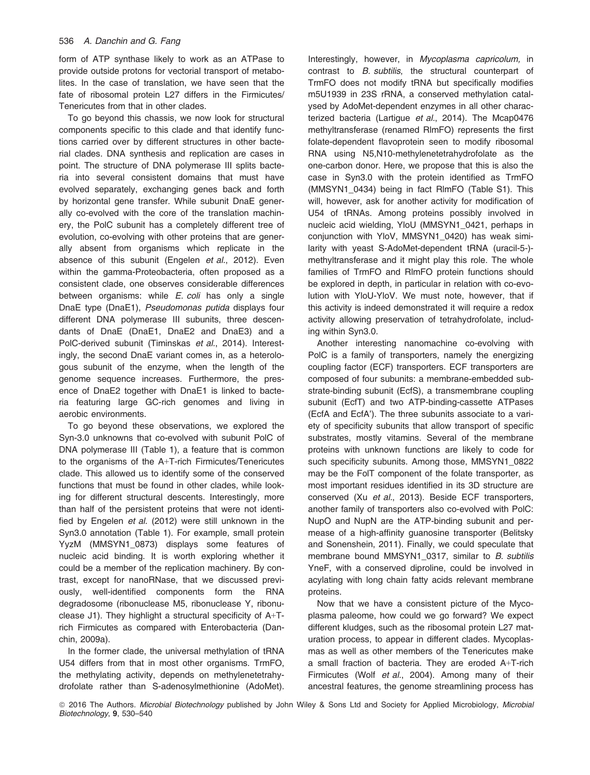form of ATP synthase likely to work as an ATPase to provide outside protons for vectorial transport of metabolites. In the case of translation, we have seen that the fate of ribosomal protein L27 differs in the Firmicutes/ Tenericutes from that in other clades.

To go beyond this chassis, we now look for structural components specific to this clade and that identify functions carried over by different structures in other bacterial clades. DNA synthesis and replication are cases in point. The structure of DNA polymerase III splits bacteria into several consistent domains that must have evolved separately, exchanging genes back and forth by horizontal gene transfer. While subunit DnaE generally co-evolved with the core of the translation machinery, the PolC subunit has a completely different tree of evolution, co-evolving with other proteins that are generally absent from organisms which replicate in the absence of this subunit (Engelen et al., 2012). Even within the gamma-Proteobacteria, often proposed as a consistent clade, one observes considerable differences between organisms: while *E. coli* has only a single DnaE type (DnaE1), Pseudomonas putida displays four different DNA polymerase III subunits, three descendants of DnaE (DnaE1, DnaE2 and DnaE3) and a PolC-derived subunit (Timinskas et al., 2014). Interestingly, the second DnaE variant comes in, as a heterologous subunit of the enzyme, when the length of the genome sequence increases. Furthermore, the presence of DnaE2 together with DnaE1 is linked to bacteria featuring large GC-rich genomes and living in aerobic environments.

To go beyond these observations, we explored the Syn-3.0 unknowns that co-evolved with subunit PolC of DNA polymerase III (Table 1), a feature that is common to the organisms of the A+T-rich Firmicutes/Tenericutes clade. This allowed us to identify some of the conserved functions that must be found in other clades, while looking for different structural descents. Interestingly, more than half of the persistent proteins that were not identified by Engelen et al. (2012) were still unknown in the Syn3.0 annotation (Table 1). For example, small protein YyzM (MMSYN1\_0873) displays some features of nucleic acid binding. It is worth exploring whether it could be a member of the replication machinery. By contrast, except for nanoRNase, that we discussed previously, well-identified components form the RNA degradosome (ribonuclease M5, ribonuclease Y, ribonuclease J1). They highlight a structural specificity of A+Trich Firmicutes as compared with Enterobacteria (Danchin, 2009a).

In the former clade, the universal methylation of tRNA U54 differs from that in most other organisms. TrmFO, the methylating activity, depends on methylenetetrahydrofolate rather than S-adenosylmethionine (AdoMet). Interestingly, however, in Mycoplasma capricolum, in contrast to B. subtilis, the structural counterpart of TrmFO does not modify tRNA but specifically modifies m5U1939 in 23S rRNA, a conserved methylation catalysed by AdoMet-dependent enzymes in all other characterized bacteria (Lartigue et al., 2014). The Mcap0476 methyltransferase (renamed RlmFO) represents the first folate-dependent flavoprotein seen to modify ribosomal RNA using N5,N10-methylenetetrahydrofolate as the one-carbon donor. Here, we propose that this is also the case in Syn3.0 with the protein identified as TrmFO (MMSYN1\_0434) being in fact RlmFO (Table S1). This will, however, ask for another activity for modification of U54 of tRNAs. Among proteins possibly involved in nucleic acid wielding, YloU (MMSYN1\_0421, perhaps in conjunction with YloV, MMSYN1\_0420) has weak similarity with yeast S-AdoMet-dependent tRNA (uracil-5-) methyltransferase and it might play this role. The whole families of TrmFO and RlmFO protein functions should be explored in depth, in particular in relation with co-evolution with YloU-YloV. We must note, however, that if this activity is indeed demonstrated it will require a redox activity allowing preservation of tetrahydrofolate, including within Syn3.0.

Another interesting nanomachine co-evolving with PolC is a family of transporters, namely the energizing coupling factor (ECF) transporters. ECF transporters are composed of four subunits: a membrane-embedded substrate-binding subunit (EcfS), a transmembrane coupling subunit (EcfT) and two ATP-binding-cassette ATPases (EcfA and EcfA'). The three subunits associate to a variety of specificity subunits that allow transport of specific substrates, mostly vitamins. Several of the membrane proteins with unknown functions are likely to code for such specificity subunits. Among those, MMSYN1\_0822 may be the FolT component of the folate transporter, as most important residues identified in its 3D structure are conserved (Xu et al., 2013). Beside ECF transporters, another family of transporters also co-evolved with PolC: NupO and NupN are the ATP-binding subunit and permease of a high-affinity guanosine transporter (Belitsky and Sonenshein, 2011). Finally, we could speculate that membrane bound MMSYN1\_0317, similar to B. subtilis YneF, with a conserved diproline, could be involved in acylating with long chain fatty acids relevant membrane proteins.

Now that we have a consistent picture of the Mycoplasma paleome, how could we go forward? We expect different kludges, such as the ribosomal protein L27 maturation process, to appear in different clades. Mycoplasmas as well as other members of the Tenericutes make a small fraction of bacteria. They are eroded A+T-rich Firmicutes (Wolf et al., 2004). Among many of their ancestral features, the genome streamlining process has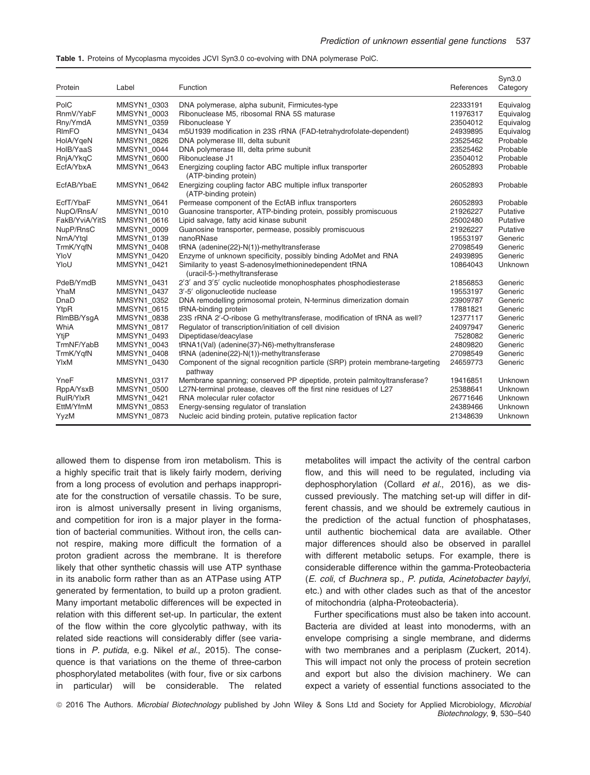| Table 1. Proteins of Mycoplasma mycoides JCVI Syn3.0 co-evolving with DNA polymerase PolC. |  |  |  |
|--------------------------------------------------------------------------------------------|--|--|--|
|--------------------------------------------------------------------------------------------|--|--|--|

| Protein        | Label       | Function                                                                                 | References | Syn3.0<br>Category |
|----------------|-------------|------------------------------------------------------------------------------------------|------------|--------------------|
| PolC           | MMSYN1 0303 | DNA polymerase, alpha subunit, Firmicutes-type                                           | 22333191   | Equivalog          |
| RnmV/YabF      | MMSYN1 0003 | Ribonuclease M5, ribosomal RNA 5S maturase                                               | 11976317   | Equivalog          |
| Rny/YmdA       | MMSYN1 0359 | Ribonuclease Y                                                                           | 23504012   | Equivalog          |
| RImFO          | MMSYN1 0434 | m5U1939 modification in 23S rRNA (FAD-tetrahydrofolate-dependent)                        | 24939895   | Equivalog          |
| HolA/YgeN      | MMSYN1 0826 | DNA polymerase III, delta subunit                                                        | 23525462   | Probable           |
| HolB/YaaS      | MMSYN1 0044 | DNA polymerase III, delta prime subunit                                                  | 23525462   | Probable           |
| RnjA/YkqC      | MMSYN1 0600 | Ribonuclease J1                                                                          | 23504012   | Probable           |
| EcfA/YbxA      | MMSYN1 0643 | Energizing coupling factor ABC multiple influx transporter<br>(ATP-binding protein)      | 26052893   | Probable           |
| EcfAB/YbaE     | MMSYN1 0642 | Energizing coupling factor ABC multiple influx transporter<br>(ATP-binding protein)      | 26052893   | Probable           |
| EcfT/YbaF      | MMSYN1 0641 | Permease component of the EcfAB influx transporters                                      | 26052893   | Probable           |
| NupO/RnsA/     | MMSYN1 0010 | Guanosine transporter, ATP-binding protein, possibly promiscuous                         | 21926227   | Putative           |
| FakB/YviA/YitS | MMSYN1 0616 | Lipid salvage, fatty acid kinase subunit                                                 | 25002480   | Putative           |
| NupP/RnsC      | MMSYN1_0009 | Guanosine transporter, permease, possibly promiscuous                                    | 21926227   | Putative           |
| NrnA/Ytgl      | MMSYN1_0139 | nanoRNase                                                                                | 19553197   | Generic            |
| TrmK/YgfN      | MMSYN1 0408 | tRNA (adenine(22)-N(1))-methyltransferase                                                | 27098549   | Generic            |
| YloV           | MMSYN1 0420 | Enzyme of unknown specificity, possibly binding AdoMet and RNA                           | 24939895   | Generic            |
| YloU           | MMSYN1_0421 | Similarity to yeast S-adenosylmethioninedependent tRNA<br>(uracil-5-)-methyltransferase  | 10864043   | Unknown            |
| PdeB/YmdB      | MMSYN1 0431 | 2'3' and 3'5' cyclic nucleotide monophosphates phosphodiesterase                         | 21856853   | Generic            |
| YhaM           | MMSYN1 0437 | 3'-5' oligonucleotide nuclease                                                           | 19553197   | Generic            |
| DnaD           | MMSYN1 0352 | DNA remodelling primosomal protein, N-terminus dimerization domain                       | 23909787   | Generic            |
| YtpR           | MMSYN1 0615 | tRNA-binding protein                                                                     | 17881821   | Generic            |
| RImBB/YsgA     | MMSYN1 0838 | 23S rRNA 2'-O-ribose G methyltransferase, modification of tRNA as well?                  | 12377117   | Generic            |
| WhiA           | MMSYN1 0817 | Regulator of transcription/initiation of cell division                                   | 24097947   | Generic            |
| YtjP           | MMSYN1 0493 | Dipeptidase/deacylase                                                                    | 7528082    | Generic            |
| TrmNF/YabB     | MMSYN1 0043 | tRNA1(Val) (adenine(37)-N6)-methyltransferase                                            | 24809820   | Generic            |
| TrmK/YqfN      | MMSYN1 0408 | tRNA (adenine(22)-N(1))-methyltransferase                                                | 27098549   | Generic            |
| YIxM           | MMSYN1 0430 | Component of the signal recognition particle (SRP) protein membrane-targeting<br>pathway | 24659773   | Generic            |
| YneF           | MMSYN1 0317 | Membrane spanning; conserved PP dipeptide, protein palmitoyltransferase?                 | 19416851   | Unknown            |
| RppA/YsxB      | MMSYN1 0500 | L27N-terminal protease, cleaves off the first nine residues of L27                       | 25388641   | Unknown            |
| RulR/YlxR      | MMSYN1 0421 | RNA molecular ruler cofactor                                                             | 26771646   | Unknown            |
| EttM/YfmM      | MMSYN1 0853 | Energy-sensing regulator of translation                                                  | 24389466   | Unknown            |
| YyzM           | MMSYN1 0873 | Nucleic acid binding protein, putative replication factor                                | 21348639   | Unknown            |

allowed them to dispense from iron metabolism. This is a highly specific trait that is likely fairly modern, deriving from a long process of evolution and perhaps inappropriate for the construction of versatile chassis. To be sure, iron is almost universally present in living organisms, and competition for iron is a major player in the formation of bacterial communities. Without iron, the cells cannot respire, making more difficult the formation of a proton gradient across the membrane. It is therefore likely that other synthetic chassis will use ATP synthase in its anabolic form rather than as an ATPase using ATP generated by fermentation, to build up a proton gradient. Many important metabolic differences will be expected in relation with this different set-up. In particular, the extent of the flow within the core glycolytic pathway, with its related side reactions will considerably differ (see variations in P. putida, e.g. Nikel et al., 2015). The consequence is that variations on the theme of three-carbon phosphorylated metabolites (with four, five or six carbons in particular) will be considerable. The related

metabolites will impact the activity of the central carbon flow, and this will need to be regulated, including via dephosphorylation (Collard et al., 2016), as we discussed previously. The matching set-up will differ in different chassis, and we should be extremely cautious in the prediction of the actual function of phosphatases, until authentic biochemical data are available. Other major differences should also be observed in parallel with different metabolic setups. For example, there is considerable difference within the gamma-Proteobacteria (E. coli, cf Buchnera sp., P. putida, Acinetobacter baylyi, etc.) and with other clades such as that of the ancestor of mitochondria (alpha-Proteobacteria).

Further specifications must also be taken into account. Bacteria are divided at least into monoderms, with an envelope comprising a single membrane, and diderms with two membranes and a periplasm (Zuckert, 2014). This will impact not only the process of protein secretion and export but also the division machinery. We can expect a variety of essential functions associated to the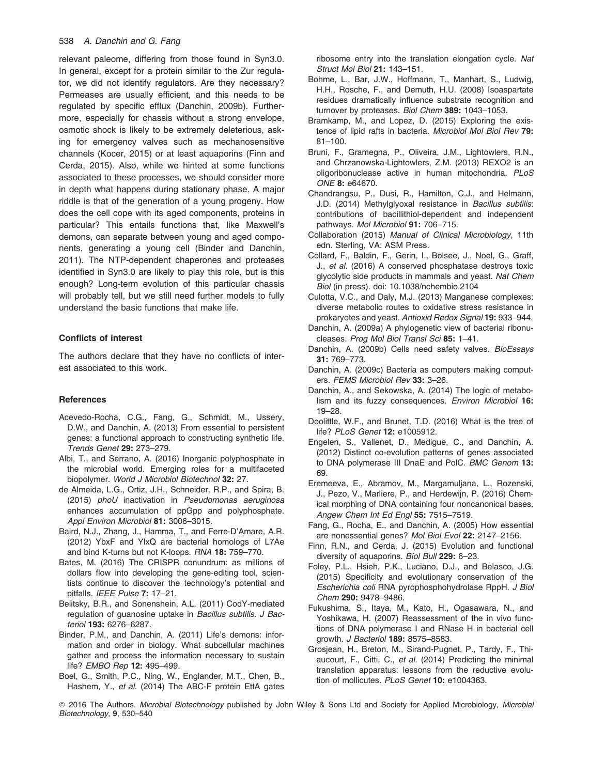#### 538 A. Danchin and G. Fang

relevant paleome, differing from those found in Syn3.0. In general, except for a protein similar to the Zur regulator, we did not identify regulators. Are they necessary? Permeases are usually efficient, and this needs to be regulated by specific efflux (Danchin, 2009b). Furthermore, especially for chassis without a strong envelope, osmotic shock is likely to be extremely deleterious, asking for emergency valves such as mechanosensitive channels (Kocer, 2015) or at least aquaporins (Finn and Cerda, 2015). Also, while we hinted at some functions associated to these processes, we should consider more in depth what happens during stationary phase. A major riddle is that of the generation of a young progeny. How does the cell cope with its aged components, proteins in particular? This entails functions that, like Maxwell's demons, can separate between young and aged components, generating a young cell (Binder and Danchin, 2011). The NTP-dependent chaperones and proteases identified in Syn3.0 are likely to play this role, but is this enough? Long-term evolution of this particular chassis will probably tell, but we still need further models to fully understand the basic functions that make life.

## Conflicts of interest

The authors declare that they have no conflicts of interest associated to this work.

#### **References**

- Acevedo-Rocha, C.G., Fang, G., Schmidt, M., Ussery, D.W., and Danchin, A. (2013) From essential to persistent genes: a functional approach to constructing synthetic life. Trends Genet 29: 273–279.
- Albi, T., and Serrano, A. (2016) Inorganic polyphosphate in the microbial world. Emerging roles for a multifaceted biopolymer. World J Microbiol Biotechnol 32: 27.
- de Almeida, L.G., Ortiz, J.H., Schneider, R.P., and Spira, B. (2015) phoU inactivation in Pseudomonas aeruginosa enhances accumulation of ppGpp and polyphosphate. Appl Environ Microbiol 81: 3006-3015.
- Baird, N.J., Zhang, J., Hamma, T., and Ferre-D'Amare, A.R. (2012) YbxF and YlxQ are bacterial homologs of L7Ae and bind K-turns but not K-loops. RNA 18: 759–770.
- Bates, M. (2016) The CRISPR conundrum: as millions of dollars flow into developing the gene-editing tool, scientists continue to discover the technology's potential and pitfalls. IEEE Pulse 7: 17–21.
- Belitsky, B.R., and Sonenshein, A.L. (2011) CodY-mediated regulation of guanosine uptake in Bacillus subtilis. J Bacteriol 193: 6276–6287.
- Binder, P.M., and Danchin, A. (2011) Life's demons: information and order in biology. What subcellular machines gather and process the information necessary to sustain life? EMBO Rep 12: 495-499.
- Boel, G., Smith, P.C., Ning, W., Englander, M.T., Chen, B., Hashem, Y., et al. (2014) The ABC-F protein EttA gates

ribosome entry into the translation elongation cycle. Nat Struct Mol Biol 21: 143–151.

- Bohme, L., Bar, J.W., Hoffmann, T., Manhart, S., Ludwig, H.H., Rosche, F., and Demuth, H.U. (2008) Isoaspartate residues dramatically influence substrate recognition and turnover by proteases. Biol Chem 389: 1043-1053.
- Bramkamp, M., and Lopez, D. (2015) Exploring the existence of lipid rafts in bacteria. Microbiol Mol Biol Rev 79: 81–100.
- Bruni, F., Gramegna, P., Oliveira, J.M., Lightowlers, R.N., and Chrzanowska-Lightowlers, Z.M. (2013) REXO2 is an oligoribonuclease active in human mitochondria. PLoS ONE 8: e64670.
- Chandrangsu, P., Dusi, R., Hamilton, C.J., and Helmann, J.D. (2014) Methylglyoxal resistance in Bacillus subtilis: contributions of bacillithiol-dependent and independent pathways. Mol Microbiol 91: 706–715.
- Collaboration (2015) Manual of Clinical Microbiology, 11th edn. Sterling, VA: ASM Press.
- Collard, F., Baldin, F., Gerin, I., Bolsee, J., Noel, G., Graff, J., et al. (2016) A conserved phosphatase destroys toxic glycolytic side products in mammals and yeast. Nat Chem Biol (in press). doi: 10.1038/nchembio.2104
- Culotta, V.C., and Daly, M.J. (2013) Manganese complexes: diverse metabolic routes to oxidative stress resistance in prokaryotes and yeast. Antioxid Redox Signal 19: 933–944.
- Danchin, A. (2009a) A phylogenetic view of bacterial ribonucleases. Prog Mol Biol Transl Sci 85: 1–41.
- Danchin, A. (2009b) Cells need safety valves. BioEssays 31: 769–773.
- Danchin, A. (2009c) Bacteria as computers making computers. FEMS Microbiol Rev 33: 3–26.
- Danchin, A., and Sekowska, A. (2014) The logic of metabolism and its fuzzy consequences. Environ Microbiol 16: 19–28.
- Doolittle, W.F., and Brunet, T.D. (2016) What is the tree of life? PLoS Genet 12: e1005912.
- Engelen, S., Vallenet, D., Medigue, C., and Danchin, A. (2012) Distinct co-evolution patterns of genes associated to DNA polymerase III DnaE and PolC. BMC Genom 13: 69.
- Eremeeva, E., Abramov, M., Margamuljana, L., Rozenski, J., Pezo, V., Marliere, P., and Herdewijn, P. (2016) Chemical morphing of DNA containing four noncanonical bases. Angew Chem Int Ed Engl 55: 7515–7519.
- Fang, G., Rocha, E., and Danchin, A. (2005) How essential are nonessential genes? Mol Biol Evol 22: 2147–2156.
- Finn, R.N., and Cerda, J. (2015) Evolution and functional diversity of aquaporins. Biol Bull 229: 6–23.
- Foley, P.L., Hsieh, P.K., Luciano, D.J., and Belasco, J.G. (2015) Specificity and evolutionary conservation of the Escherichia coli RNA pyrophosphohydrolase RppH. J Biol Chem 290: 9478–9486.
- Fukushima, S., Itaya, M., Kato, H., Ogasawara, N., and Yoshikawa, H. (2007) Reassessment of the in vivo functions of DNA polymerase I and RNase H in bacterial cell growth. J Bacteriol 189: 8575-8583.
- Grosjean, H., Breton, M., Sirand-Pugnet, P., Tardy, F., Thiaucourt, F., Citti, C., et al. (2014) Predicting the minimal translation apparatus: lessons from the reductive evolution of mollicutes. PLoS Genet 10: e1004363.

<sup>© 2016</sup> The Authors. Microbial Biotechnology published by John Wiley & Sons Ltd and Society for Applied Microbiology, Microbial Biotechnology, 9, 530–540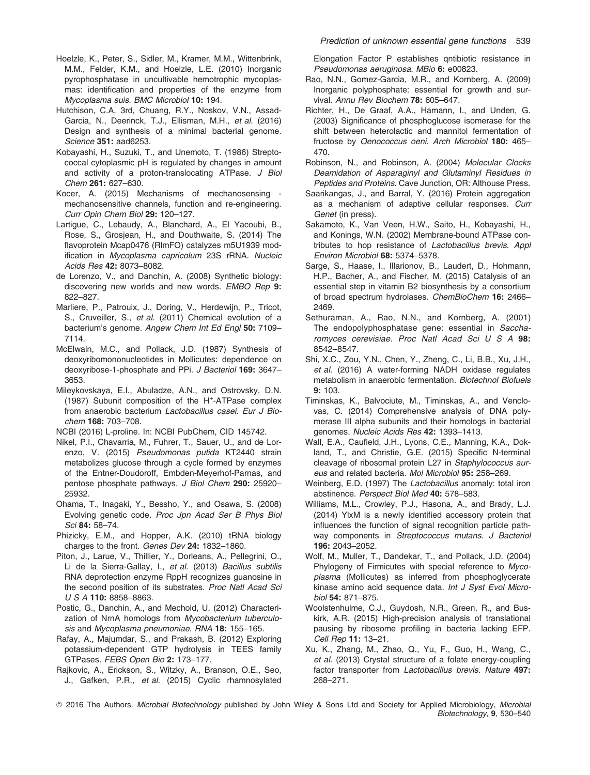- Hoelzle, K., Peter, S., Sidler, M., Kramer, M.M., Wittenbrink, M.M., Felder, K.M., and Hoelzle, L.E. (2010) Inorganic pyrophosphatase in uncultivable hemotrophic mycoplasmas: identification and properties of the enzyme from Mycoplasma suis. BMC Microbiol 10: 194.
- Hutchison, C.A. 3rd, Chuang, R.Y., Noskov, V.N., Assad-Garcia, N., Deerinck, T.J., Ellisman, M.H., et al. (2016) Design and synthesis of a minimal bacterial genome. Science 351: aad6253.
- Kobayashi, H., Suzuki, T., and Unemoto, T. (1986) Streptococcal cytoplasmic pH is regulated by changes in amount and activity of a proton-translocating ATPase. J Biol Chem 261: 627–630.
- Kocer, A. (2015) Mechanisms of mechanosensing mechanosensitive channels, function and re-engineering. Curr Opin Chem Biol 29: 120–127.
- Lartigue, C., Lebaudy, A., Blanchard, A., El Yacoubi, B., Rose, S., Grosjean, H., and Douthwaite, S. (2014) The flavoprotein Mcap0476 (RlmFO) catalyzes m5U1939 modification in Mycoplasma capricolum 23S rRNA. Nucleic Acids Res 42: 8073–8082.
- de Lorenzo, V., and Danchin, A. (2008) Synthetic biology: discovering new worlds and new words. EMBO Rep 9: 822–827.
- Marliere, P., Patrouix, J., Doring, V., Herdewijn, P., Tricot, S., Cruveiller, S., et al. (2011) Chemical evolution of a bacterium's genome. Angew Chem Int Ed Engl 50: 7109-7114.
- McElwain, M.C., and Pollack, J.D. (1987) Synthesis of deoxyribomononucleotides in Mollicutes: dependence on deoxyribose-1-phosphate and PPi. J Bacteriol 169: 3647– 3653.
- Mileykovskaya, E.I., Abuladze, A.N., and Ostrovsky, D.N. (1987) Subunit composition of the H<sup>+</sup>-ATPase complex from anaerobic bacterium Lactobacillus casei. Eur J Biochem 168: 703–708.
- NCBI (2016) L-proline. In: NCBI PubChem, CID 145742.
- Nikel, P.I., Chavarria, M., Fuhrer, T., Sauer, U., and de Lorenzo, V. (2015) Pseudomonas putida KT2440 strain metabolizes glucose through a cycle formed by enzymes of the Entner-Doudoroff, Embden-Meyerhof-Parnas, and pentose phosphate pathways. J Biol Chem 290: 25920-25932.
- Ohama, T., Inagaki, Y., Bessho, Y., and Osawa, S. (2008) Evolving genetic code. Proc Jpn Acad Ser B Phys Biol Sci 84: 58–74.
- Phizicky, E.M., and Hopper, A.K. (2010) tRNA biology charges to the front. Genes Dev 24: 1832–1860.
- Piton, J., Larue, V., Thillier, Y., Dorleans, A., Pellegrini, O., Li de la Sierra-Gallay, I., et al. (2013) Bacillus subtilis RNA deprotection enzyme RppH recognizes guanosine in the second position of its substrates. Proc Natl Acad Sci USA 110: 8858–8863.
- Postic, G., Danchin, A., and Mechold, U. (2012) Characterization of NrnA homologs from Mycobacterium tuberculosis and Mycoplasma pneumoniae. RNA 18: 155-165.
- Rafay, A., Majumdar, S., and Prakash, B. (2012) Exploring potassium-dependent GTP hydrolysis in TEES family GTPases. FEBS Open Bio 2: 173–177.
- Rajkovic, A., Erickson, S., Witzky, A., Branson, O.E., Seo, J., Gafken, P.R., et al. (2015) Cyclic rhamnosylated

Elongation Factor P establishes qntibiotic resistance in Pseudomonas aeruginosa. MBio 6: e00823.

- Rao, N.N., Gomez-Garcia, M.R., and Kornberg, A. (2009) Inorganic polyphosphate: essential for growth and survival. Annu Rev Biochem 78: 605–647.
- Richter, H., De Graaf, A.A., Hamann, I., and Unden, G. (2003) Significance of phosphoglucose isomerase for the shift between heterolactic and mannitol fermentation of fructose by Oenococcus oeni. Arch Microbiol 180: 465– 470.
- Robinson, N., and Robinson, A. (2004) Molecular Clocks Deamidation of Asparaginyl and Glutaminyl Residues in Peptides and Proteins. Cave Junction, OR: Althouse Press.
- Saarikangas, J., and Barral, Y. (2016) Protein aggregation as a mechanism of adaptive cellular responses. Curr Genet (in press).
- Sakamoto, K., Van Veen, H.W., Saito, H., Kobayashi, H., and Konings, W.N. (2002) Membrane-bound ATPase contributes to hop resistance of Lactobacillus brevis. Appl Environ Microbiol 68: 5374–5378.
- Sarge, S., Haase, I., Illarionov, B., Laudert, D., Hohmann, H.P., Bacher, A., and Fischer, M. (2015) Catalysis of an essential step in vitamin B2 biosynthesis by a consortium of broad spectrum hydrolases. ChemBioChem 16: 2466– 2469.
- Sethuraman, A., Rao, N.N., and Kornberg, A. (2001) The endopolyphosphatase gene: essential in Saccharomyces cerevisiae. Proc Natl Acad Sci U S A 98: 8542–8547.
- Shi, X.C., Zou, Y.N., Chen, Y., Zheng, C., Li, B.B., Xu, J.H., et al. (2016) A water-forming NADH oxidase regulates metabolism in anaerobic fermentation. Biotechnol Biofuels 9: 103.
- Timinskas, K., Balvociute, M., Timinskas, A., and Venclovas, C. (2014) Comprehensive analysis of DNA polymerase III alpha subunits and their homologs in bacterial genomes. Nucleic Acids Res 42: 1393–1413.
- Wall, E.A., Caufield, J.H., Lyons, C.E., Manning, K.A., Dokland, T., and Christie, G.E. (2015) Specific N-terminal cleavage of ribosomal protein L27 in Staphylococcus aureus and related bacteria. Mol Microbiol 95: 258–269.
- Weinberg, E.D. (1997) The Lactobacillus anomaly: total iron abstinence. Perspect Biol Med 40: 578–583.
- Williams, M.L., Crowley, P.J., Hasona, A., and Brady, L.J. (2014) YlxM is a newly identified accessory protein that influences the function of signal recognition particle pathway components in Streptococcus mutans. J Bacteriol 196: 2043–2052.
- Wolf, M., Muller, T., Dandekar, T., and Pollack, J.D. (2004) Phylogeny of Firmicutes with special reference to Mycoplasma (Mollicutes) as inferred from phosphoglycerate kinase amino acid sequence data. Int J Syst Evol Microbiol 54: 871–875.
- Woolstenhulme, C.J., Guydosh, N.R., Green, R., and Buskirk, A.R. (2015) High-precision analysis of translational pausing by ribosome profiling in bacteria lacking EFP. Cell Rep 11: 13–21.
- Xu, K., Zhang, M., Zhao, Q., Yu, F., Guo, H., Wang, C., et al. (2013) Crystal structure of a folate energy-coupling factor transporter from Lactobacillus brevis. Nature 497: 268–271.

<sup>© 2016</sup> The Authors. Microbial Biotechnology published by John Wiley & Sons Ltd and Society for Applied Microbiology, Microbial Biotechnology, 9, 530–540